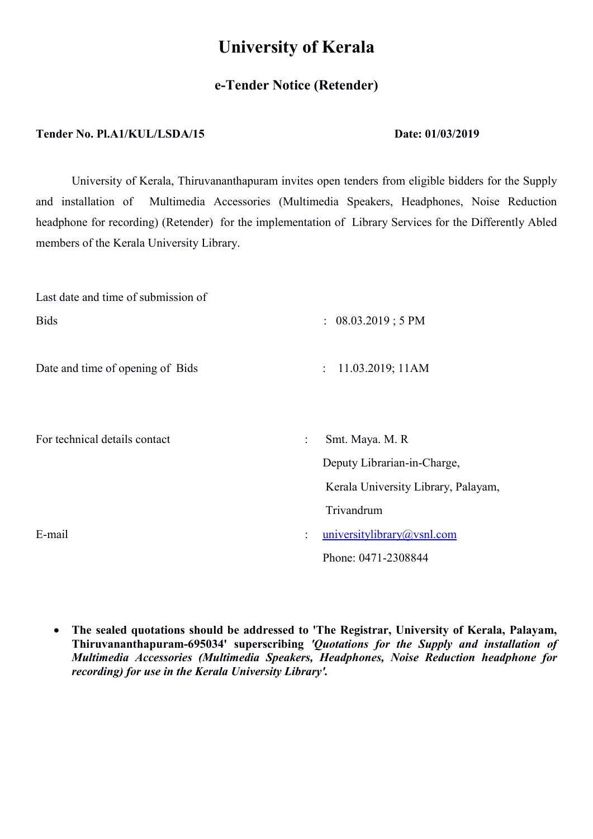# University of Kerala

## e-Tender Notice (Retender)

#### Tender No. Pl.A1/KUL/LSDA/15 Date: 01/03/2019

University of Kerala, Thiruvananthapuram invites open tenders from eligible bidders for the Supply and installation of Multimedia Accessories (Multimedia Speakers, Headphones, Noise Reduction headphone for recording) (Retender) for the implementation of Library Services for the Differently Abled members of the Kerala University Library.

| Last date and time of submission of |                                                                  |  |  |
|-------------------------------------|------------------------------------------------------------------|--|--|
| <b>Bids</b>                         | : 08.03.2019 ; 5 PM                                              |  |  |
| Date and time of opening of Bids    | 11.03.2019; 11AM<br>$\ddot{\phantom{a}}$                         |  |  |
| For technical details contact       | Smt. Maya. M. R<br>$\ddot{\cdot}$<br>Deputy Librarian-in-Charge, |  |  |
|                                     | Kerala University Library, Palayam,                              |  |  |
|                                     | Trivandrum                                                       |  |  |
| E-mail                              | universitylibrary@vsnl.com<br>$\ddot{\phantom{a}}$               |  |  |
|                                     | Phone: 0471-2308844                                              |  |  |

 The sealed quotations should be addressed to 'The Registrar, University of Kerala, Palayam, Thiruvananthapuram-695034' superscribing 'Quotations for the Supply and installation of Multimedia Accessories (Multimedia Speakers, Headphones, Noise Reduction headphone for recording) for use in the Kerala University Library'.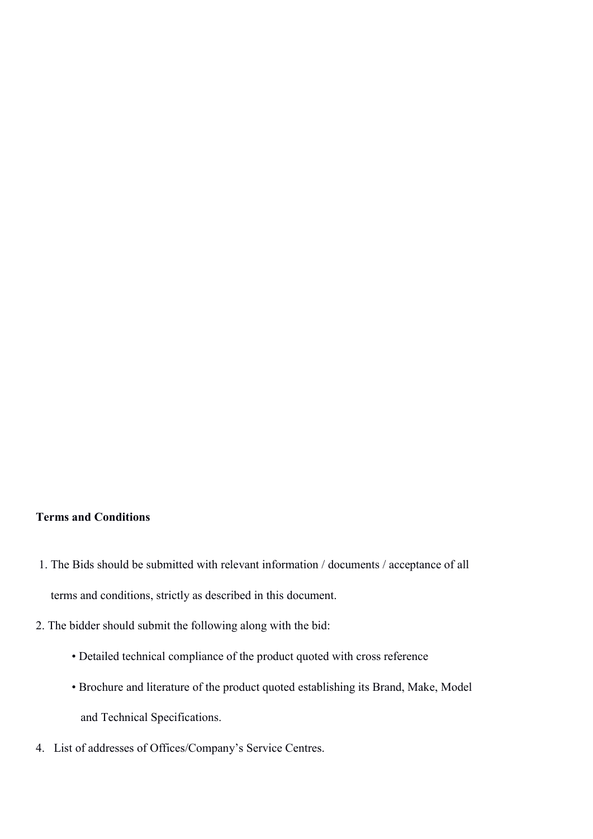### Terms and Conditions

- 1. The Bids should be submitted with relevant information / documents / acceptance of all terms and conditions, strictly as described in this document.
- 2. The bidder should submit the following along with the bid:
	- Detailed technical compliance of the product quoted with cross reference
	- Brochure and literature of the product quoted establishing its Brand, Make, Model and Technical Specifications.
- 4. List of addresses of Offices/Company's Service Centres.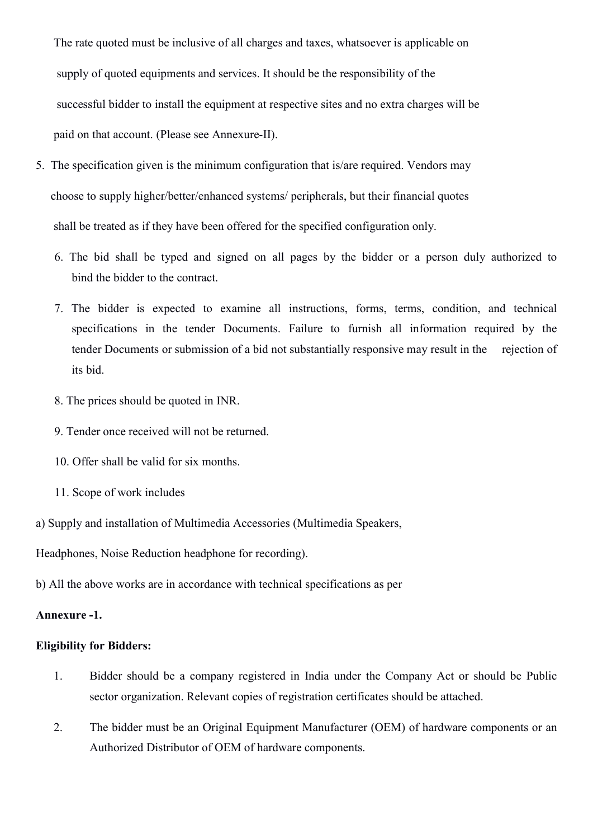The rate quoted must be inclusive of all charges and taxes, whatsoever is applicable on supply of quoted equipments and services. It should be the responsibility of the successful bidder to install the equipment at respective sites and no extra charges will be paid on that account. (Please see Annexure-II).

- 5. The specification given is the minimum configuration that is/are required. Vendors may choose to supply higher/better/enhanced systems/ peripherals, but their financial quotes shall be treated as if they have been offered for the specified configuration only.
	- 6. The bid shall be typed and signed on all pages by the bidder or a person duly authorized to bind the bidder to the contract.
	- 7. The bidder is expected to examine all instructions, forms, terms, condition, and technical specifications in the tender Documents. Failure to furnish all information required by the tender Documents or submission of a bid not substantially responsive may result in the rejection of its bid.
	- 8. The prices should be quoted in INR.
	- 9. Tender once received will not be returned.
	- 10. Offer shall be valid for six months.
	- 11. Scope of work includes

a) Supply and installation of Multimedia Accessories (Multimedia Speakers,

Headphones, Noise Reduction headphone for recording).

b) All the above works are in accordance with technical specifications as per

#### Annexure -1.

#### Eligibility for Bidders:

- 1. Bidder should be a company registered in India under the Company Act or should be Public sector organization. Relevant copies of registration certificates should be attached.
- 2. The bidder must be an Original Equipment Manufacturer (OEM) of hardware components or an Authorized Distributor of OEM of hardware components.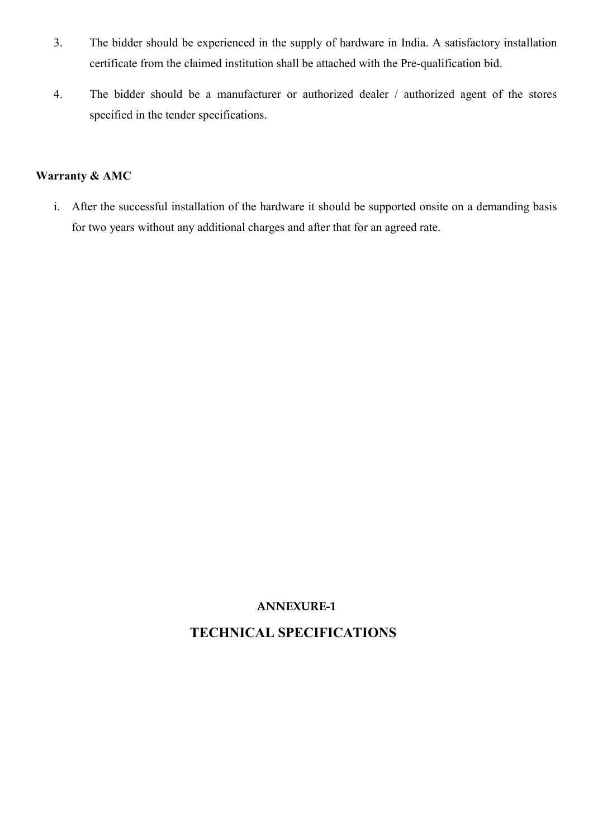- 3. The bidder should be experienced in the supply of hardware in India. A satisfactory installation certificate from the claimed institution shall be attached with the Pre-qualification bid.
- 4. The bidder should be a manufacturer or authorized dealer / authorized agent of the stores specified in the tender specifications.

## Warranty & AMC

i. After the successful installation of the hardware it should be supported onsite on a demanding basis for two years without any additional charges and after that for an agreed rate.

## ANNEXURE-1

## TECHNICAL SPECIFICATIONS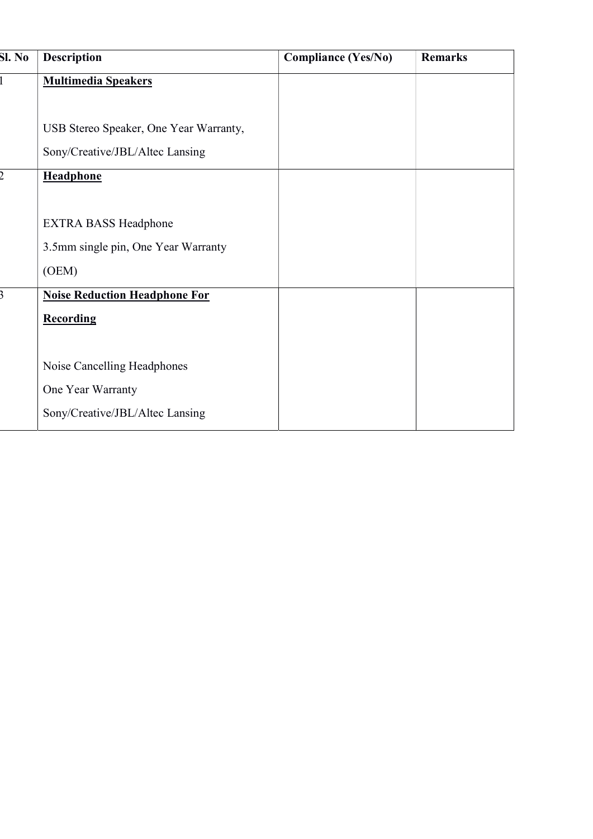| Sl. No | <b>Description</b>                     | <b>Compliance (Yes/No)</b> | <b>Remarks</b> |
|--------|----------------------------------------|----------------------------|----------------|
|        | <b>Multimedia Speakers</b>             |                            |                |
|        |                                        |                            |                |
|        | USB Stereo Speaker, One Year Warranty, |                            |                |
|        | Sony/Creative/JBL/Altec Lansing        |                            |                |
|        | <b>Headphone</b>                       |                            |                |
|        |                                        |                            |                |
|        | <b>EXTRA BASS Headphone</b>            |                            |                |
|        | 3.5mm single pin, One Year Warranty    |                            |                |
|        | (OEM)                                  |                            |                |
|        | <b>Noise Reduction Headphone For</b>   |                            |                |
|        | <b>Recording</b>                       |                            |                |
|        |                                        |                            |                |
|        | Noise Cancelling Headphones            |                            |                |
|        | One Year Warranty                      |                            |                |
|        | Sony/Creative/JBL/Altec Lansing        |                            |                |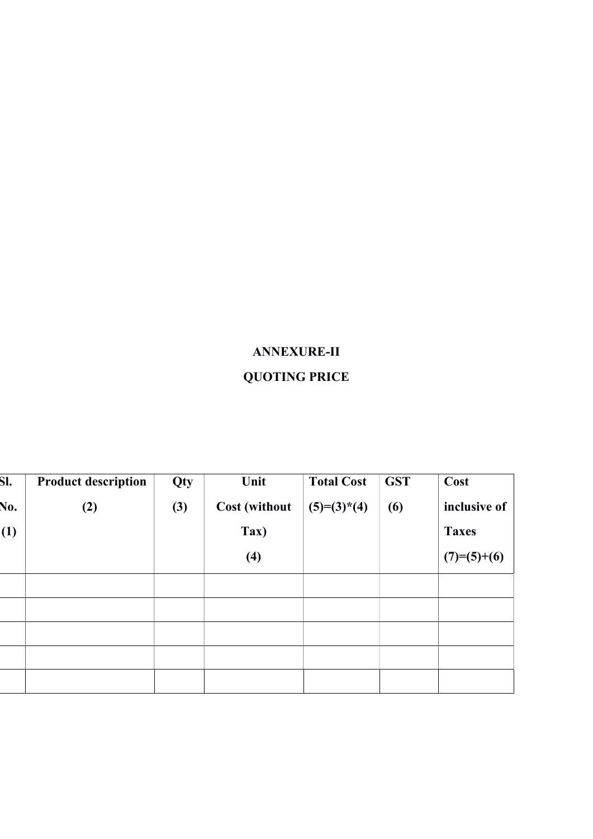# ANNEXURE-II QUOTING PRICE

| SI. | <b>Product description</b> | Qty | Unit                 | <b>Total Cost</b> | <b>GST</b> | Cost          |
|-----|----------------------------|-----|----------------------|-------------------|------------|---------------|
| No. | (2)                        | (3) | <b>Cost (without</b> | $(5)=(3)^*(4)$    | (6)        | inclusive of  |
| (1) |                            |     | Tax)                 |                   |            | <b>Taxes</b>  |
|     |                            |     | (4)                  |                   |            | $(7)=(5)+(6)$ |
|     |                            |     |                      |                   |            |               |
|     |                            |     |                      |                   |            |               |
|     |                            |     |                      |                   |            |               |
|     |                            |     |                      |                   |            |               |
|     |                            |     |                      |                   |            |               |